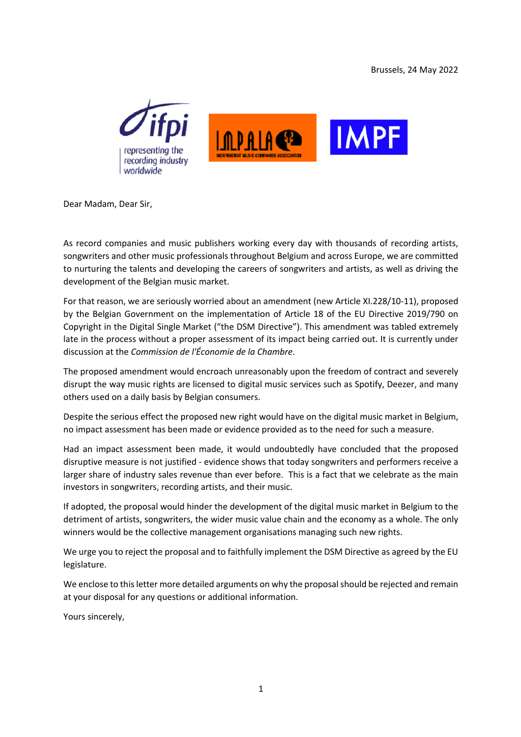



Dear Madam, Dear Sir,

As record companies and music publishers working every day with thousands of recording artists, songwriters and other music professionals throughout Belgium and across Europe, we are committed to nurturing the talents and developing the careers of songwriters and artists, as well as driving the development of the Belgian music market.

For that reason, we are seriously worried about an amendment (new Article XI.228/10-11), proposed by the Belgian Government on the implementation of Article 18 of the EU Directive 2019/790 on Copyright in the Digital Single Market ("the DSM Directive"). This amendment was tabled extremely late in the process without a proper assessment of its impact being carried out. It is currently under discussion at the *Commission de l'Économie de la Chambre.*

The proposed amendment would encroach unreasonably upon the freedom of contract and severely disrupt the way music rights are licensed to digital music services such as Spotify, Deezer, and many others used on a daily basis by Belgian consumers.

Despite the serious effect the proposed new right would have on the digital music market in Belgium, no impact assessment has been made or evidence provided as to the need for such a measure.

Had an impact assessment been made, it would undoubtedly have concluded that the proposed disruptive measure is not justified - evidence shows that today songwriters and performers receive a larger share of industry sales revenue than ever before. This is a fact that we celebrate as the main investors in songwriters, recording artists, and their music.

If adopted, the proposal would hinder the development of the digital music market in Belgium to the detriment of artists, songwriters, the wider music value chain and the economy as a whole. The only winners would be the collective management organisations managing such new rights.

We urge you to reject the proposal and to faithfully implement the DSM Directive as agreed by the EU legislature.

We enclose to this letter more detailed arguments on why the proposal should be rejected and remain at your disposal for any questions or additional information.

Yours sincerely,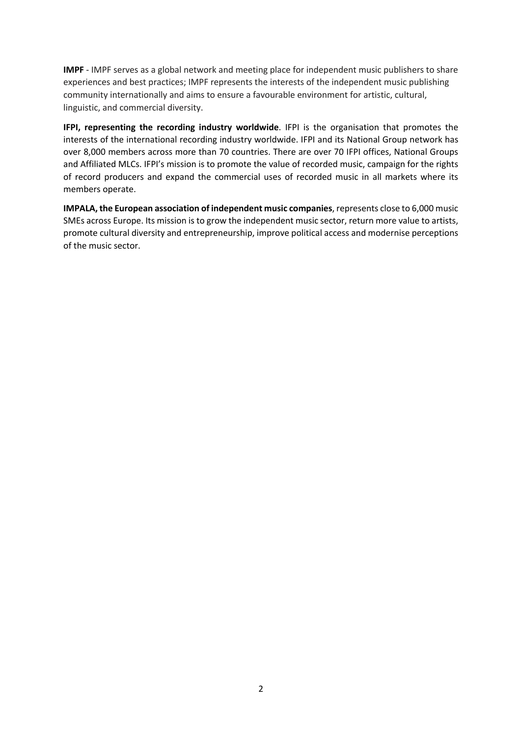**IMPF** - IMPF serves as a global network and meeting place for independent music publishers to share experiences and best practices; IMPF represents the interests of the independent music publishing community internationally and aims to ensure a favourable environment for artistic, cultural, linguistic, and commercial diversity.

**IFPI, representing the recording industry worldwide**. IFPI is the organisation that promotes the interests of the international recording industry worldwide. IFPI and its National Group network has over 8,000 members across more than 70 countries. There are over 70 IFPI offices, National Groups and Affiliated MLCs. IFPI's mission is to promote the value of recorded music, campaign for the rights of record producers and expand the commercial uses of recorded music in all markets where its members operate.

**IMPALA, the European association of independent music companies**, represents close to 6,000 music SMEs across Europe. Its mission is to grow the independent music sector, return more value to artists, promote cultural diversity and entrepreneurship, improve political access and modernise perceptions of the music sector.